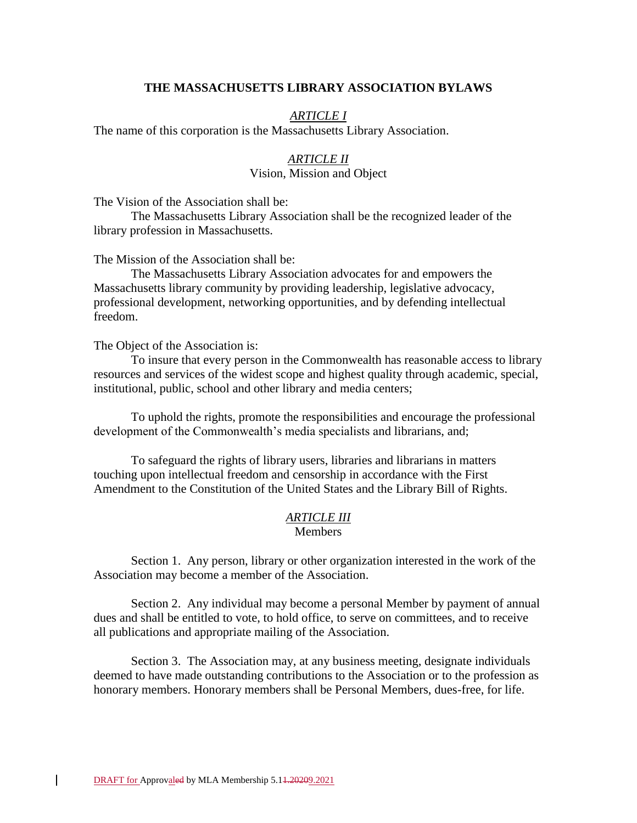### **THE MASSACHUSETTS LIBRARY ASSOCIATION BYLAWS**

### *ARTICLE I*

The name of this corporation is the Massachusetts Library Association.

### *ARTICLE II*

### Vision, Mission and Object

The Vision of the Association shall be:

The Massachusetts Library Association shall be the recognized leader of the library profession in Massachusetts.

The Mission of the Association shall be:

 The Massachusetts Library Association advocates for and empowers the Massachusetts library community by providing leadership, legislative advocacy, professional development, networking opportunities, and by defending intellectual freedom.

The Object of the Association is:

To insure that every person in the Commonwealth has reasonable access to library resources and services of the widest scope and highest quality through academic, special, institutional, public, school and other library and media centers;

To uphold the rights, promote the responsibilities and encourage the professional development of the Commonwealth's media specialists and librarians, and;

To safeguard the rights of library users, libraries and librarians in matters touching upon intellectual freedom and censorship in accordance with the First Amendment to the Constitution of the United States and the Library Bill of Rights.

#### *ARTICLE III* **Members**

Section 1. Any person, library or other organization interested in the work of the Association may become a member of the Association.

Section 2. Any individual may become a personal Member by payment of annual dues and shall be entitled to vote, to hold office, to serve on committees, and to receive all publications and appropriate mailing of the Association.

Section 3. The Association may, at any business meeting, designate individuals deemed to have made outstanding contributions to the Association or to the profession as honorary members. Honorary members shall be Personal Members, dues-free, for life.

 $\mathsf{l}$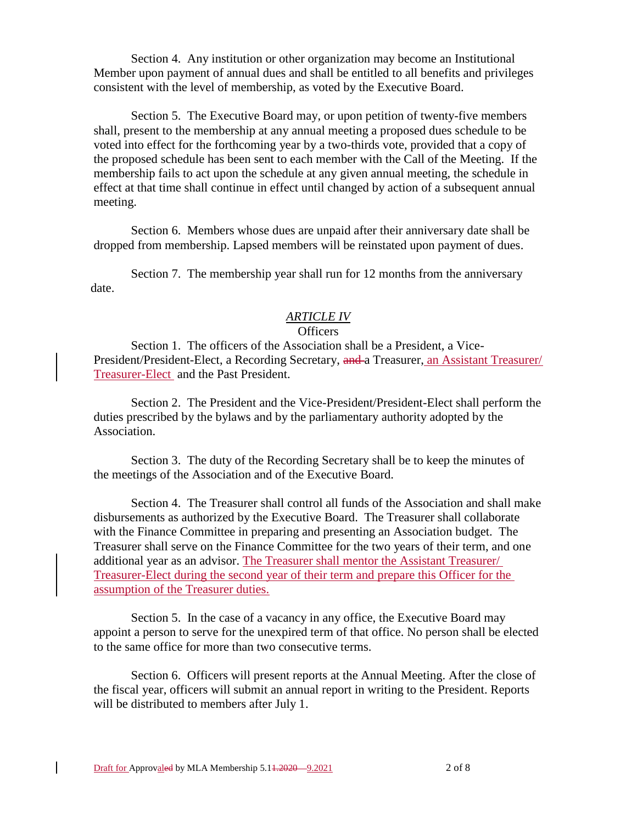Section 4. Any institution or other organization may become an Institutional Member upon payment of annual dues and shall be entitled to all benefits and privileges consistent with the level of membership, as voted by the Executive Board.

Section 5. The Executive Board may, or upon petition of twenty-five members shall, present to the membership at any annual meeting a proposed dues schedule to be voted into effect for the forthcoming year by a two-thirds vote, provided that a copy of the proposed schedule has been sent to each member with the Call of the Meeting. If the membership fails to act upon the schedule at any given annual meeting, the schedule in effect at that time shall continue in effect until changed by action of a subsequent annual meeting.

Section 6. Members whose dues are unpaid after their anniversary date shall be dropped from membership. Lapsed members will be reinstated upon payment of dues.

Section 7. The membership year shall run for 12 months from the anniversary date.

# *ARTICLE IV*

# **Officers**

Section 1. The officers of the Association shall be a President, a Vice-President/President-Elect, a Recording Secretary, and a Treasurer, an Assistant Treasurer/ Treasurer-Elect and the Past President.

Section 2. The President and the Vice-President/President-Elect shall perform the duties prescribed by the bylaws and by the parliamentary authority adopted by the Association.

Section 3. The duty of the Recording Secretary shall be to keep the minutes of the meetings of the Association and of the Executive Board.

Section 4. The Treasurer shall control all funds of the Association and shall make disbursements as authorized by the Executive Board. The Treasurer shall collaborate with the Finance Committee in preparing and presenting an Association budget. The Treasurer shall serve on the Finance Committee for the two years of their term, and one additional year as an advisor. The Treasurer shall mentor the Assistant Treasurer/ Treasurer-Elect during the second year of their term and prepare this Officer for the assumption of the Treasurer duties.

Section 5. In the case of a vacancy in any office, the Executive Board may appoint a person to serve for the unexpired term of that office. No person shall be elected to the same office for more than two consecutive terms.

Section 6. Officers will present reports at the Annual Meeting. After the close of the fiscal year, officers will submit an annual report in writing to the President. Reports will be distributed to members after July 1.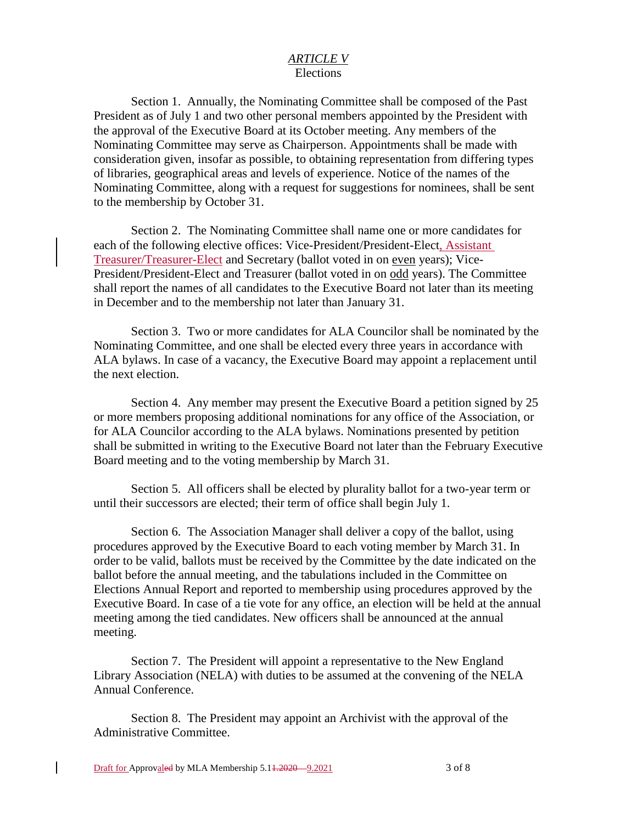#### *ARTICLE V* Elections

Section 1. Annually, the Nominating Committee shall be composed of the Past President as of July 1 and two other personal members appointed by the President with the approval of the Executive Board at its October meeting. Any members of the Nominating Committee may serve as Chairperson. Appointments shall be made with consideration given, insofar as possible, to obtaining representation from differing types of libraries, geographical areas and levels of experience. Notice of the names of the Nominating Committee, along with a request for suggestions for nominees, shall be sent to the membership by October 31.

Section 2. The Nominating Committee shall name one or more candidates for each of the following elective offices: Vice-President/President-Elect, Assistant Treasurer/Treasurer-Elect and Secretary (ballot voted in on even years); Vice-President/President-Elect and Treasurer (ballot voted in on odd years). The Committee shall report the names of all candidates to the Executive Board not later than its meeting in December and to the membership not later than January 31.

Section 3. Two or more candidates for ALA Councilor shall be nominated by the Nominating Committee, and one shall be elected every three years in accordance with ALA bylaws. In case of a vacancy, the Executive Board may appoint a replacement until the next election.

Section 4. Any member may present the Executive Board a petition signed by 25 or more members proposing additional nominations for any office of the Association, or for ALA Councilor according to the ALA bylaws. Nominations presented by petition shall be submitted in writing to the Executive Board not later than the February Executive Board meeting and to the voting membership by March 31.

Section 5. All officers shall be elected by plurality ballot for a two-year term or until their successors are elected; their term of office shall begin July 1.

Section 6. The Association Manager shall deliver a copy of the ballot, using procedures approved by the Executive Board to each voting member by March 31. In order to be valid, ballots must be received by the Committee by the date indicated on the ballot before the annual meeting, and the tabulations included in the Committee on Elections Annual Report and reported to membership using procedures approved by the Executive Board. In case of a tie vote for any office, an election will be held at the annual meeting among the tied candidates. New officers shall be announced at the annual meeting.

Section 7. The President will appoint a representative to the New England Library Association (NELA) with duties to be assumed at the convening of the NELA Annual Conference.

Section 8. The President may appoint an Archivist with the approval of the Administrative Committee.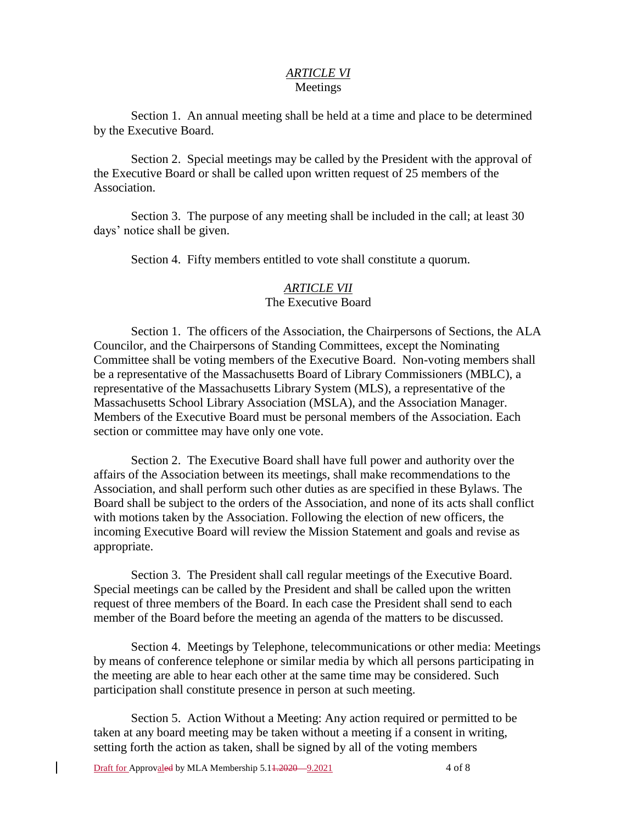### *ARTICLE VI* Meetings

Section 1. An annual meeting shall be held at a time and place to be determined by the Executive Board.

Section 2. Special meetings may be called by the President with the approval of the Executive Board or shall be called upon written request of 25 members of the Association.

Section 3. The purpose of any meeting shall be included in the call; at least 30 days' notice shall be given.

Section 4. Fifty members entitled to vote shall constitute a quorum.

### *ARTICLE VII* The Executive Board

Section 1. The officers of the Association, the Chairpersons of Sections, the ALA Councilor, and the Chairpersons of Standing Committees, except the Nominating Committee shall be voting members of the Executive Board. Non-voting members shall be a representative of the Massachusetts Board of Library Commissioners (MBLC), a representative of the Massachusetts Library System (MLS), a representative of the Massachusetts School Library Association (MSLA), and the Association Manager. Members of the Executive Board must be personal members of the Association. Each section or committee may have only one vote.

Section 2. The Executive Board shall have full power and authority over the affairs of the Association between its meetings, shall make recommendations to the Association, and shall perform such other duties as are specified in these Bylaws. The Board shall be subject to the orders of the Association, and none of its acts shall conflict with motions taken by the Association. Following the election of new officers, the incoming Executive Board will review the Mission Statement and goals and revise as appropriate.

Section 3. The President shall call regular meetings of the Executive Board. Special meetings can be called by the President and shall be called upon the written request of three members of the Board. In each case the President shall send to each member of the Board before the meeting an agenda of the matters to be discussed.

Section 4. Meetings by Telephone, telecommunications or other media: Meetings by means of conference telephone or similar media by which all persons participating in the meeting are able to hear each other at the same time may be considered. Such participation shall constitute presence in person at such meeting.

Section 5. Action Without a Meeting: Any action required or permitted to be taken at any board meeting may be taken without a meeting if a consent in writing, setting forth the action as taken, shall be signed by all of the voting members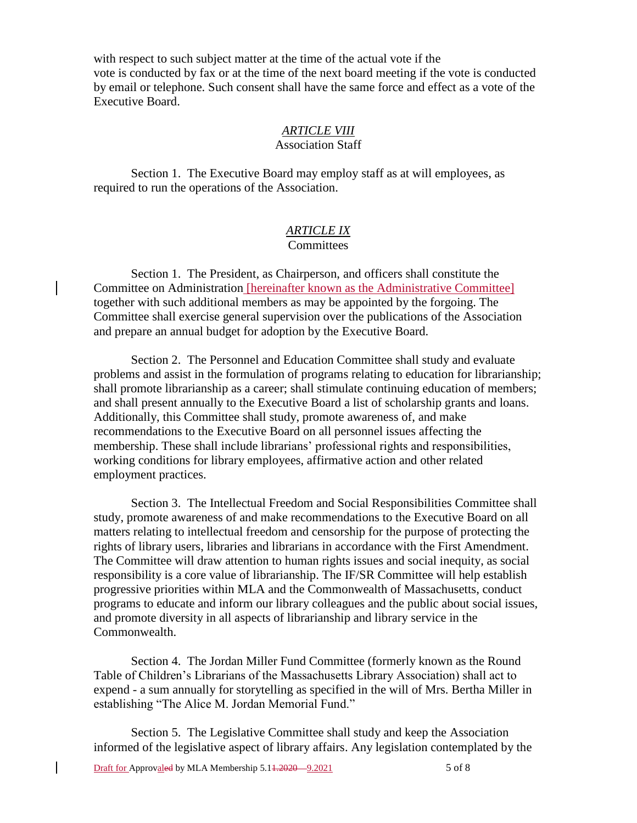with respect to such subject matter at the time of the actual vote if the vote is conducted by fax or at the time of the next board meeting if the vote is conducted by email or telephone. Such consent shall have the same force and effect as a vote of the Executive Board.

### *ARTICLE VIII* Association Staff

Section 1. The Executive Board may employ staff as at will employees, as required to run the operations of the Association.

### *ARTICLE IX* **Committees**

Section 1. The President, as Chairperson, and officers shall constitute the Committee on Administration *[hereinafter known as the Administrative Committee]* together with such additional members as may be appointed by the forgoing. The Committee shall exercise general supervision over the publications of the Association and prepare an annual budget for adoption by the Executive Board.

Section 2. The Personnel and Education Committee shall study and evaluate problems and assist in the formulation of programs relating to education for librarianship; shall promote librarianship as a career; shall stimulate continuing education of members; and shall present annually to the Executive Board a list of scholarship grants and loans. Additionally, this Committee shall study, promote awareness of, and make recommendations to the Executive Board on all personnel issues affecting the membership. These shall include librarians' professional rights and responsibilities, working conditions for library employees, affirmative action and other related employment practices.

Section 3. The Intellectual Freedom and Social Responsibilities Committee shall study, promote awareness of and make recommendations to the Executive Board on all matters relating to intellectual freedom and censorship for the purpose of protecting the rights of library users, libraries and librarians in accordance with the First Amendment. The Committee will draw attention to human rights issues and social inequity, as social responsibility is a core value of librarianship. The IF/SR Committee will help establish progressive priorities within MLA and the Commonwealth of Massachusetts, conduct programs to educate and inform our library colleagues and the public about social issues, and promote diversity in all aspects of librarianship and library service in the Commonwealth.

Section 4. The Jordan Miller Fund Committee (formerly known as the Round Table of Children's Librarians of the Massachusetts Library Association) shall act to expend - a sum annually for storytelling as specified in the will of Mrs. Bertha Miller in establishing "The Alice M. Jordan Memorial Fund."

Section 5. The Legislative Committee shall study and keep the Association informed of the legislative aspect of library affairs. Any legislation contemplated by the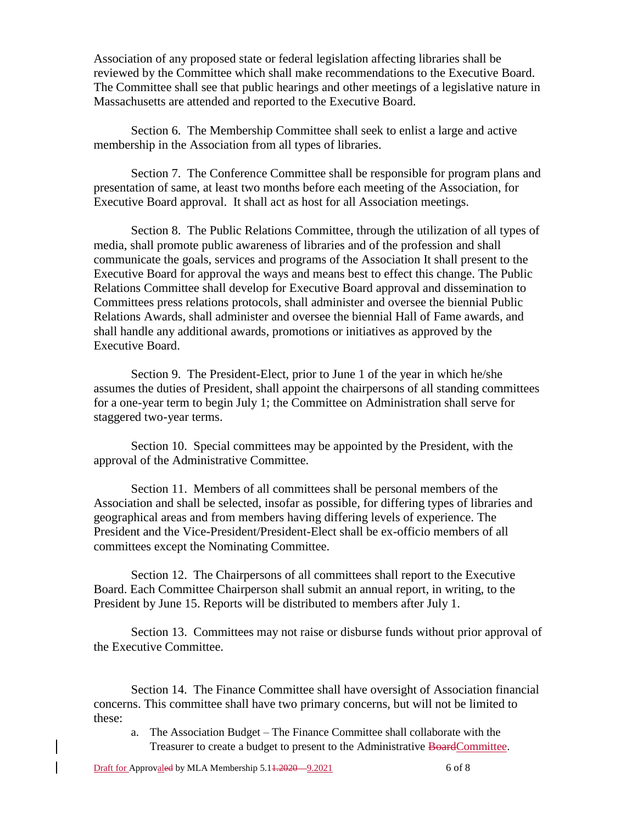Association of any proposed state or federal legislation affecting libraries shall be reviewed by the Committee which shall make recommendations to the Executive Board. The Committee shall see that public hearings and other meetings of a legislative nature in Massachusetts are attended and reported to the Executive Board.

Section 6. The Membership Committee shall seek to enlist a large and active membership in the Association from all types of libraries.

Section 7. The Conference Committee shall be responsible for program plans and presentation of same, at least two months before each meeting of the Association, for Executive Board approval. It shall act as host for all Association meetings.

Section 8. The Public Relations Committee, through the utilization of all types of media, shall promote public awareness of libraries and of the profession and shall communicate the goals, services and programs of the Association It shall present to the Executive Board for approval the ways and means best to effect this change. The Public Relations Committee shall develop for Executive Board approval and dissemination to Committees press relations protocols, shall administer and oversee the biennial Public Relations Awards, shall administer and oversee the biennial Hall of Fame awards, and shall handle any additional awards, promotions or initiatives as approved by the Executive Board.

Section 9. The President-Elect, prior to June 1 of the year in which he/she assumes the duties of President, shall appoint the chairpersons of all standing committees for a one-year term to begin July 1; the Committee on Administration shall serve for staggered two-year terms.

Section 10. Special committees may be appointed by the President, with the approval of the Administrative Committee.

Section 11. Members of all committees shall be personal members of the Association and shall be selected, insofar as possible, for differing types of libraries and geographical areas and from members having differing levels of experience. The President and the Vice-President/President-Elect shall be ex-officio members of all committees except the Nominating Committee.

Section 12. The Chairpersons of all committees shall report to the Executive Board. Each Committee Chairperson shall submit an annual report, in writing, to the President by June 15. Reports will be distributed to members after July 1.

Section 13. Committees may not raise or disburse funds without prior approval of the Executive Committee.

Section 14. The Finance Committee shall have oversight of Association financial concerns. This committee shall have two primary concerns, but will not be limited to these:

a. The Association Budget – The Finance Committee shall collaborate with the Treasurer to create a budget to present to the Administrative BoardCommittee.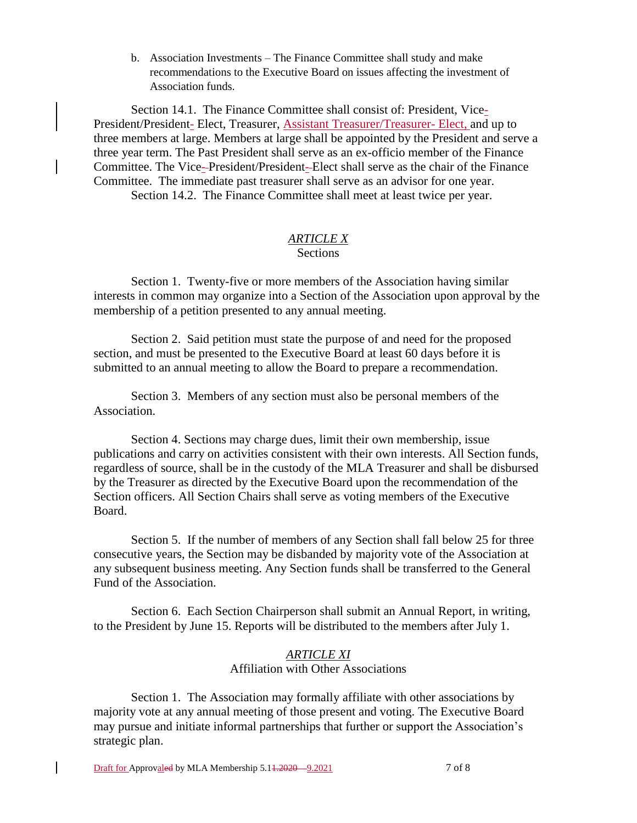b. Association Investments – The Finance Committee shall study and make recommendations to the Executive Board on issues affecting the investment of Association funds.

Section 14.1. The Finance Committee shall consist of: President, Vice-President/President- Elect, Treasurer, Assistant Treasurer/Treasurer- Elect, and up to three members at large. Members at large shall be appointed by the President and serve a three year term. The Past President shall serve as an ex-officio member of the Finance Committee. The Vice- President/President- Elect shall serve as the chair of the Finance Committee. The immediate past treasurer shall serve as an advisor for one year. Section 14.2. The Finance Committee shall meet at least twice per year.

# *ARTICLE X*

### Sections

Section 1. Twenty-five or more members of the Association having similar interests in common may organize into a Section of the Association upon approval by the membership of a petition presented to any annual meeting.

Section 2. Said petition must state the purpose of and need for the proposed section, and must be presented to the Executive Board at least 60 days before it is submitted to an annual meeting to allow the Board to prepare a recommendation.

Section 3. Members of any section must also be personal members of the Association.

Section 4. Sections may charge dues, limit their own membership, issue publications and carry on activities consistent with their own interests. All Section funds, regardless of source, shall be in the custody of the MLA Treasurer and shall be disbursed by the Treasurer as directed by the Executive Board upon the recommendation of the Section officers. All Section Chairs shall serve as voting members of the Executive Board.

Section 5. If the number of members of any Section shall fall below 25 for three consecutive years, the Section may be disbanded by majority vote of the Association at any subsequent business meeting. Any Section funds shall be transferred to the General Fund of the Association.

Section 6. Each Section Chairperson shall submit an Annual Report, in writing, to the President by June 15. Reports will be distributed to the members after July 1.

# *ARTICLE XI*

# Affiliation with Other Associations

Section 1. The Association may formally affiliate with other associations by majority vote at any annual meeting of those present and voting. The Executive Board may pursue and initiate informal partnerships that further or support the Association's strategic plan.